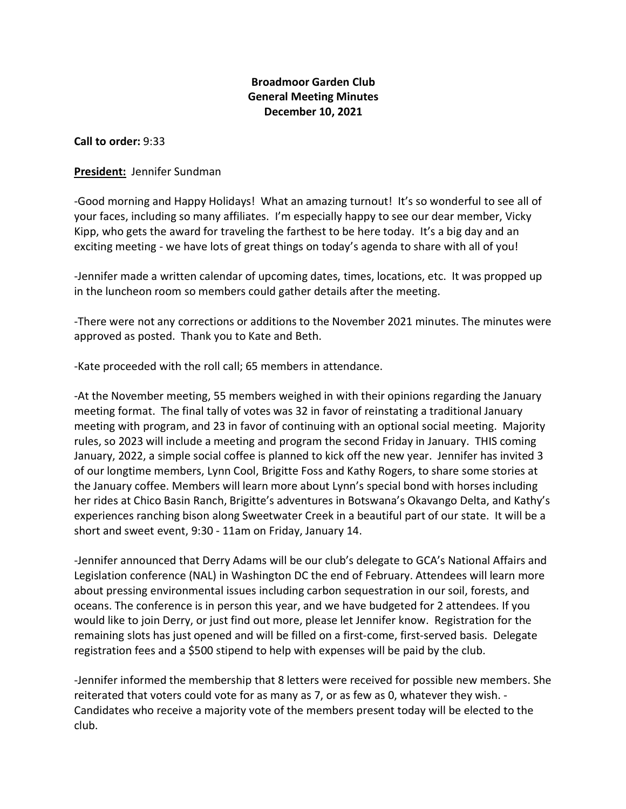# **Broadmoor Garden Club General Meeting Minutes December 10, 2021**

**Call to order:** 9:33

#### **President:** Jennifer Sundman

-Good morning and Happy Holidays! What an amazing turnout! It's so wonderful to see all of your faces, including so many affiliates. I'm especially happy to see our dear member, Vicky Kipp, who gets the award for traveling the farthest to be here today. It's a big day and an exciting meeting - we have lots of great things on today's agenda to share with all of you!

-Jennifer made a written calendar of upcoming dates, times, locations, etc. It was propped up in the luncheon room so members could gather details after the meeting.

-There were not any corrections or additions to the November 2021 minutes. The minutes were approved as posted. Thank you to Kate and Beth.

-Kate proceeded with the roll call; 65 members in attendance.

-At the November meeting, 55 members weighed in with their opinions regarding the January meeting format. The final tally of votes was 32 in favor of reinstating a traditional January meeting with program, and 23 in favor of continuing with an optional social meeting. Majority rules, so 2023 will include a meeting and program the second Friday in January. THIS coming January, 2022, a simple social coffee is planned to kick off the new year. Jennifer has invited 3 of our longtime members, Lynn Cool, Brigitte Foss and Kathy Rogers, to share some stories at the January coffee. Members will learn more about Lynn's special bond with horses including her rides at Chico Basin Ranch, Brigitte's adventures in Botswana's Okavango Delta, and Kathy's experiences ranching bison along Sweetwater Creek in a beautiful part of our state. It will be a short and sweet event, 9:30 - 11am on Friday, January 14.

-Jennifer announced that Derry Adams will be our club's delegate to GCA's National Affairs and Legislation conference (NAL) in Washington DC the end of February. Attendees will learn more about pressing environmental issues including carbon sequestration in our soil, forests, and oceans. The conference is in person this year, and we have budgeted for 2 attendees. If you would like to join Derry, or just find out more, please let Jennifer know. Registration for the remaining slots has just opened and will be filled on a first-come, first-served basis. Delegate registration fees and a \$500 stipend to help with expenses will be paid by the club.

-Jennifer informed the membership that 8 letters were received for possible new members. She reiterated that voters could vote for as many as 7, or as few as 0, whatever they wish. - Candidates who receive a majority vote of the members present today will be elected to the club.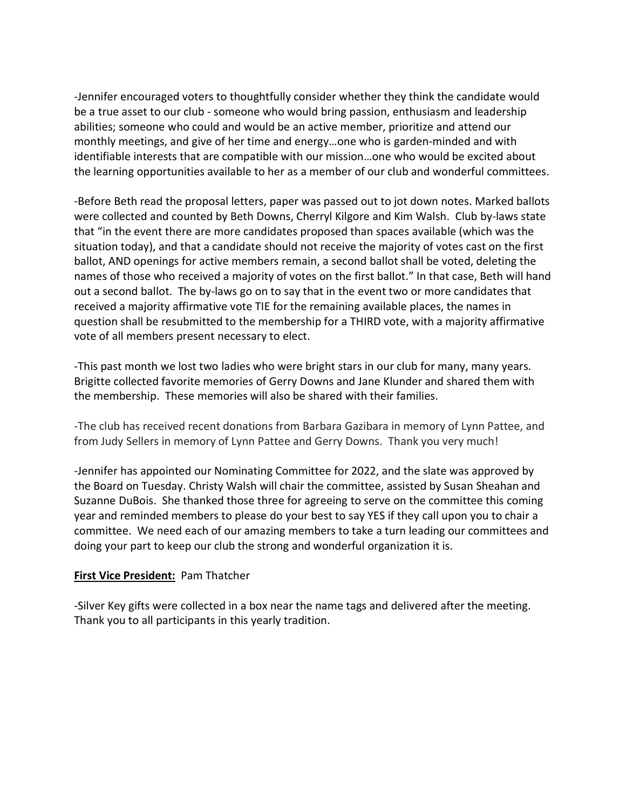-Jennifer encouraged voters to thoughtfully consider whether they think the candidate would be a true asset to our club - someone who would bring passion, enthusiasm and leadership abilities; someone who could and would be an active member, prioritize and attend our monthly meetings, and give of her time and energy…one who is garden-minded and with identifiable interests that are compatible with our mission…one who would be excited about the learning opportunities available to her as a member of our club and wonderful committees.

-Before Beth read the proposal letters, paper was passed out to jot down notes. Marked ballots were collected and counted by Beth Downs, Cherryl Kilgore and Kim Walsh. Club by-laws state that "in the event there are more candidates proposed than spaces available (which was the situation today), and that a candidate should not receive the majority of votes cast on the first ballot, AND openings for active members remain, a second ballot shall be voted, deleting the names of those who received a majority of votes on the first ballot." In that case, Beth will hand out a second ballot. The by-laws go on to say that in the event two or more candidates that received a majority affirmative vote TIE for the remaining available places, the names in question shall be resubmitted to the membership for a THIRD vote, with a majority affirmative vote of all members present necessary to elect.

-This past month we lost two ladies who were bright stars in our club for many, many years. Brigitte collected favorite memories of Gerry Downs and Jane Klunder and shared them with the membership. These memories will also be shared with their families.

-The club has received recent donations from Barbara Gazibara in memory of Lynn Pattee, and from Judy Sellers in memory of Lynn Pattee and Gerry Downs. Thank you very much!

-Jennifer has appointed our Nominating Committee for 2022, and the slate was approved by the Board on Tuesday. Christy Walsh will chair the committee, assisted by Susan Sheahan and Suzanne DuBois. She thanked those three for agreeing to serve on the committee this coming year and reminded members to please do your best to say YES if they call upon you to chair a committee. We need each of our amazing members to take a turn leading our committees and doing your part to keep our club the strong and wonderful organization it is.

#### **First Vice President:** Pam Thatcher

-Silver Key gifts were collected in a box near the name tags and delivered after the meeting. Thank you to all participants in this yearly tradition.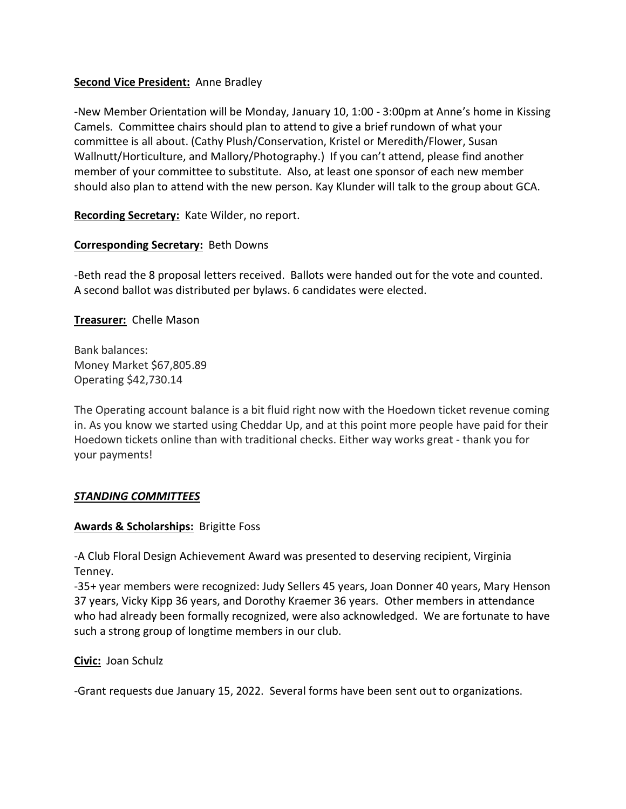## **Second Vice President:** Anne Bradley

-New Member Orientation will be Monday, January 10, 1:00 - 3:00pm at Anne's home in Kissing Camels. Committee chairs should plan to attend to give a brief rundown of what your committee is all about. (Cathy Plush/Conservation, Kristel or Meredith/Flower, Susan Wallnutt/Horticulture, and Mallory/Photography.) If you can't attend, please find another member of your committee to substitute. Also, at least one sponsor of each new member should also plan to attend with the new person. Kay Klunder will talk to the group about GCA.

**Recording Secretary:** Kate Wilder, no report.

## **Corresponding Secretary:** Beth Downs

-Beth read the 8 proposal letters received. Ballots were handed out for the vote and counted. A second ballot was distributed per bylaws. 6 candidates were elected.

**Treasurer:** Chelle Mason

Bank balances: Money Market \$67,805.89 Operating \$42,730.14

The Operating account balance is a bit fluid right now with the Hoedown ticket revenue coming in. As you know we started using Cheddar Up, and at this point more people have paid for their Hoedown tickets online than with traditional checks. Either way works great - thank you for your payments!

#### *STANDING COMMITTEES*

#### **Awards & Scholarships:** Brigitte Foss

-A Club Floral Design Achievement Award was presented to deserving recipient, Virginia Tenney.

-35+ year members were recognized: Judy Sellers 45 years, Joan Donner 40 years, Mary Henson 37 years, Vicky Kipp 36 years, and Dorothy Kraemer 36 years. Other members in attendance who had already been formally recognized, were also acknowledged. We are fortunate to have such a strong group of longtime members in our club.

**Civic:** Joan Schulz

-Grant requests due January 15, 2022. Several forms have been sent out to organizations.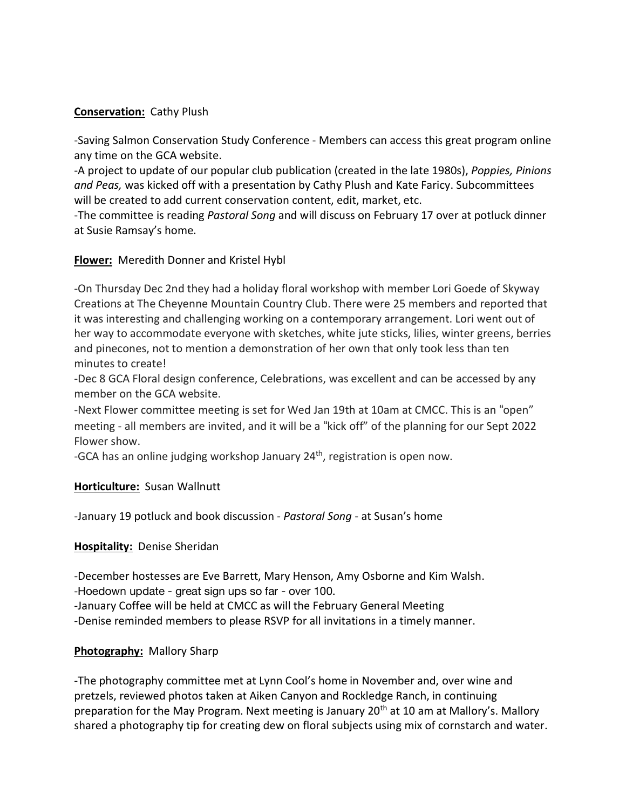## **Conservation:** Cathy Plush

-Saving Salmon Conservation Study Conference - Members can access this great program online any time on the GCA website.

-A project to update of our popular club publication (created in the late 1980s), *Poppies, Pinions and Peas,* was kicked off with a presentation by Cathy Plush and Kate Faricy. Subcommittees will be created to add current conservation content, edit, market, etc.

-The committee is reading *Pastoral Song* and will discuss on February 17 over at potluck dinner at Susie Ramsay's home.

## **Flower:** Meredith Donner and Kristel Hybl

-On Thursday Dec 2nd they had a holiday floral workshop with member Lori Goede of Skyway Creations at The Cheyenne Mountain Country Club. There were 25 members and reported that it was interesting and challenging working on a contemporary arrangement. Lori went out of her way to accommodate everyone with sketches, white jute sticks, lilies, winter greens, berries and pinecones, not to mention a demonstration of her own that only took less than ten minutes to create!

-Dec 8 GCA Floral design conference, Celebrations, was excellent and can be accessed by any member on the GCA website.

-Next Flower committee meeting is set for Wed Jan 19th at 10am at CMCC. This is an "open" meeting - all members are invited, and it will be a "kick off" of the planning for our Sept 2022 Flower show.

-GCA has an online judging workshop January 24<sup>th</sup>, registration is open now.

#### **Horticulture:** Susan Wallnutt

-January 19 potluck and book discussion - *Pastoral Song* - at Susan's home

#### **Hospitality:** Denise Sheridan

-December hostesses are Eve Barrett, Mary Henson, Amy Osborne and Kim Walsh.

-Hoedown update - great sign ups so far - over 100.

-January Coffee will be held at CMCC as will the February General Meeting

-Denise reminded members to please RSVP for all invitations in a timely manner.

# **Photography:** Mallory Sharp

-The photography committee met at Lynn Cool's home in November and, over wine and pretzels, reviewed photos taken at Aiken Canyon and Rockledge Ranch, in continuing preparation for the May Program. Next meeting is January  $20<sup>th</sup>$  at 10 am at Mallory's. Mallory shared a photography tip for creating dew on floral subjects using mix of cornstarch and water.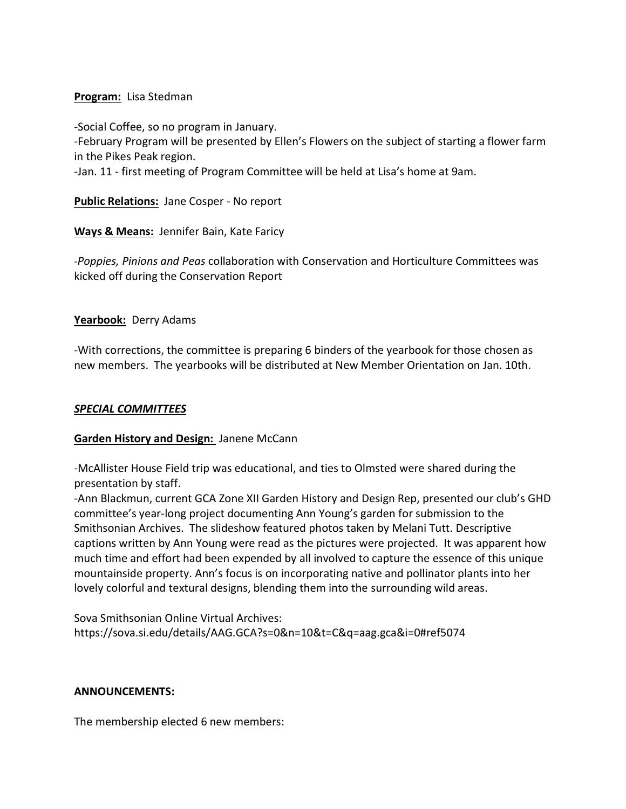### **Program:** Lisa Stedman

-Social Coffee, so no program in January. -February Program will be presented by Ellen's Flowers on the subject of starting a flower farm in the Pikes Peak region.

-Jan. 11 - first meeting of Program Committee will be held at Lisa's home at 9am.

**Public Relations:** Jane Cosper - No report

**Ways & Means:** Jennifer Bain, Kate Faricy

-*Poppies, Pinions and Peas* collaboration with Conservation and Horticulture Committees was kicked off during the Conservation Report

## **Yearbook:** Derry Adams

-With corrections, the committee is preparing 6 binders of the yearbook for those chosen as new members. The yearbooks will be distributed at New Member Orientation on Jan. 10th.

## *SPECIAL COMMITTEES*

#### **Garden History and Design:** Janene McCann

-McAllister House Field trip was educational, and ties to Olmsted were shared during the presentation by staff.

-Ann Blackmun, current GCA Zone XII Garden History and Design Rep, presented our club's GHD committee's year-long project documenting Ann Young's garden for submission to the Smithsonian Archives. The slideshow featured photos taken by Melani Tutt. Descriptive captions written by Ann Young were read as the pictures were projected. It was apparent how much time and effort had been expended by all involved to capture the essence of this unique mountainside property. Ann's focus is on incorporating native and pollinator plants into her lovely colorful and textural designs, blending them into the surrounding wild areas.

Sova Smithsonian Online Virtual Archives: https://sova.si.edu/details/AAG.GCA?s=0&n=10&t=C&q=aag.gca&i=0#ref5074

#### **ANNOUNCEMENTS:**

The membership elected 6 new members: